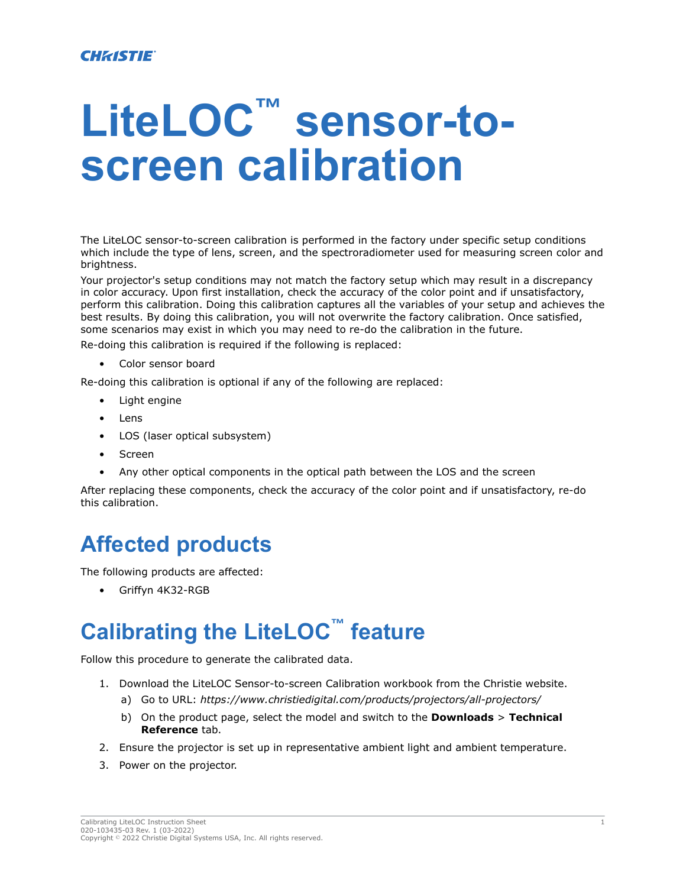## **LiteLOC™ sensor-toscreen calibration**

The LiteLOC sensor-to-screen calibration is performed in the factory under specific setup conditions which include the type of lens, screen, and the spectroradiometer used for measuring screen color and brightness.

Your projector's setup conditions may not match the factory setup which may result in a discrepancy in color accuracy. Upon first installation, check the accuracy of the color point and if unsatisfactory, perform this calibration. Doing this calibration captures all the variables of your setup and achieves the best results. By doing this calibration, you will not overwrite the factory calibration. Once satisfied, some scenarios may exist in which you may need to re-do the calibration in the future.

Re-doing this calibration is required if the following is replaced:

• Color sensor board

Re-doing this calibration is optional if any of the following are replaced:

- Light engine
- Lens
- LOS (laser optical subsystem)
- Screen
- Any other optical components in the optical path between the LOS and the screen

After replacing these components, check the accuracy of the color point and if unsatisfactory, re-do this calibration.

## **Affected products**

The following products are affected:

• Griffyn 4K32-RGB

## **Calibrating the LiteLOC™ feature**

Follow this procedure to generate the calibrated data.

- 1. Download the LiteLOC Sensor-to-screen Calibration workbook from the Christie website.
	- a) Go to URL: *<https://www.christiedigital.com/products/projectors/all-projectors/>*
	- b) On the product page, select the model and switch to the **Downloads** > **Technical Reference** tab.
- 2. Ensure the projector is set up in representative ambient light and ambient temperature.
- 3. Power on the projector.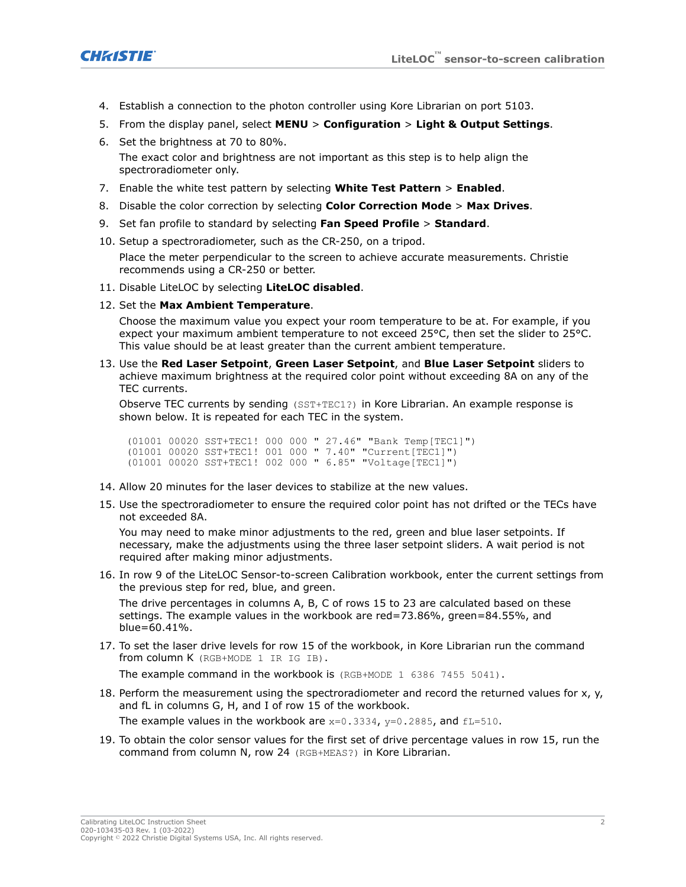

- 4. Establish a connection to the photon controller using Kore Librarian on port 5103.
- 5. From the display panel, select **MENU** > **Configuration** > **Light & Output Settings**.
- 6. Set the brightness at 70 to 80%. The exact color and brightness are not important as this step is to help align the spectroradiometer only.
- 7. Enable the white test pattern by selecting **White Test Pattern** > **Enabled**.
- 8. Disable the color correction by selecting **Color Correction Mode** > **Max Drives**.
- 9. Set fan profile to standard by selecting **Fan Speed Profile** > **Standard**.
- 10. Setup a spectroradiometer, such as the CR-250, on a tripod.

Place the meter perpendicular to the screen to achieve accurate measurements. Christie recommends using a CR-250 or better.

- 11. Disable LiteLOC by selecting **LiteLOC disabled**.
- 12. Set the **Max Ambient Temperature**.

Choose the maximum value you expect your room temperature to be at. For example, if you expect your maximum ambient temperature to not exceed 25°C, then set the slider to 25°C. This value should be at least greater than the current ambient temperature.

13. Use the **Red Laser Setpoint**, **Green Laser Setpoint**, and **Blue Laser Setpoint** sliders to achieve maximum brightness at the required color point without exceeding 8A on any of the TEC currents.

Observe TEC currents by sending (SST+TEC1?) in Kore Librarian. An example response is shown below. It is repeated for each TEC in the system.

(01001 00020 SST+TEC1! 000 000 " 27.46" "Bank Temp[TEC1]") (01001 00020 SST+TEC1! 001 000 " 7.40" "Current[TEC1]") (01001 00020 SST+TEC1! 002 000 " 6.85" "Voltage[TEC1]")

- 14. Allow 20 minutes for the laser devices to stabilize at the new values.
- 15. Use the spectroradiometer to ensure the required color point has not drifted or the TECs have not exceeded 8A.

You may need to make minor adjustments to the red, green and blue laser setpoints. If necessary, make the adjustments using the three laser setpoint sliders. A wait period is not required after making minor adjustments.

16. In row 9 of the LiteLOC Sensor-to-screen Calibration workbook, enter the current settings from the previous step for red, blue, and green.

The drive percentages in columns A, B, C of rows 15 to 23 are calculated based on these settings. The example values in the workbook are red=73.86%, green=84.55%, and blue=60.41%.

17. To set the laser drive levels for row 15 of the workbook, in Kore Librarian run the command from column K (RGB+MODE 1 IR IG IB).

The example command in the workbook is (RGB+MODE 1 6386 7455 5041).

18. Perform the measurement using the spectroradiometer and record the returned values for x, y, and fL in columns G, H, and I of row 15 of the workbook.

The example values in the workbook are  $x=0.3334$ ,  $y=0.2885$ , and  $fL=510$ .

19. To obtain the color sensor values for the first set of drive percentage values in row 15, run the command from column N, row 24 (RGB+MEAS?) in Kore Librarian.